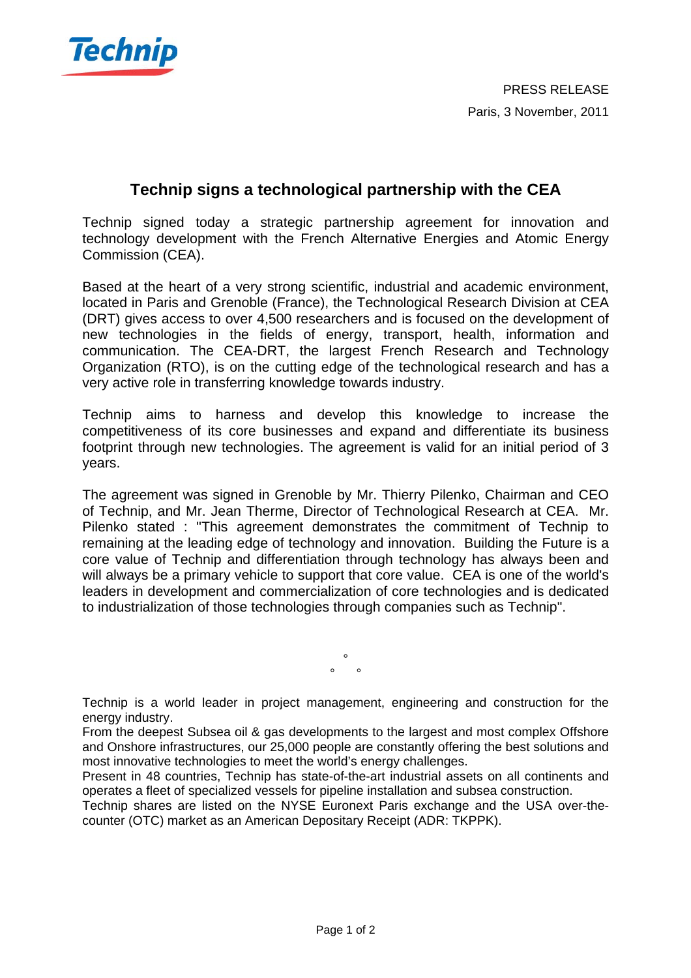

## **Technip signs a technological partnership with the CEA**

Technip signed today a strategic partnership agreement for innovation and technology development with the French Alternative Energies and Atomic Energy Commission (CEA).

Based at the heart of a very strong scientific, industrial and academic environment, located in Paris and Grenoble (France), the Technological Research Division at CEA (DRT) gives access to over 4,500 researchers and is focused on the development of new technologies in the fields of energy, transport, health, information and communication. The CEA-DRT, the largest French Research and Technology Organization (RTO), is on the cutting edge of the technological research and has a very active role in transferring knowledge towards industry.

Technip aims to harness and develop this knowledge to increase the competitiveness of its core businesses and expand and differentiate its business footprint through new technologies. The agreement is valid for an initial period of 3 years.

The agreement was signed in Grenoble by Mr. Thierry Pilenko, Chairman and CEO of Technip, and Mr. Jean Therme, Director of Technological Research at CEA. Mr. Pilenko stated : "This agreement demonstrates the commitment of Technip to remaining at the leading edge of technology and innovation. Building the Future is a core value of Technip and differentiation through technology has always been and will always be a primary vehicle to support that core value. CEA is one of the world's leaders in development and commercialization of core technologies and is dedicated to industrialization of those technologies through companies such as Technip".

> °  $\circ$   $\circ$

Technip is a world leader in project management, engineering and construction for the energy industry.

From the deepest Subsea oil & gas developments to the largest and most complex Offshore and Onshore infrastructures, our 25,000 people are constantly offering the best solutions and most innovative technologies to meet the world's energy challenges.

Present in 48 countries, Technip has state-of-the-art industrial assets on all continents and operates a fleet of specialized vessels for pipeline installation and subsea construction.

Technip shares are listed on the NYSE Euronext Paris exchange and the USA over-thecounter (OTC) market as an American Depositary Receipt (ADR: TKPPK).